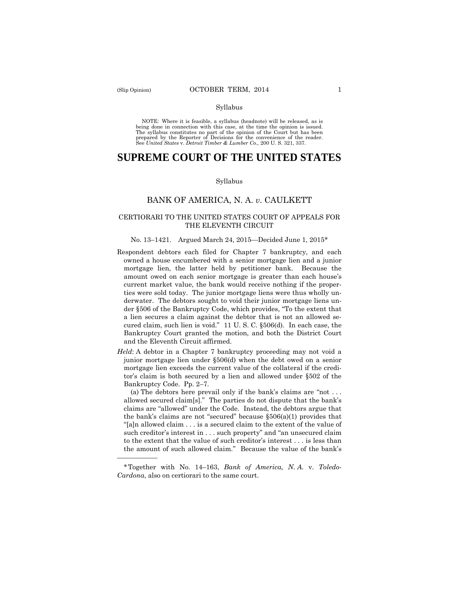——————

#### Syllabus

 NOTE: Where it is feasible, a syllabus (headnote) will be released, as is being done in connection with this case, at the time the opinion is issued. The syllabus constitutes no part of the opinion of the Court but has been<br>prepared by the Reporter of Decisions for the convenience of the reader.<br>See United States v. Detroit Timber & Lumber Co., 200 U.S. 321, 337.

# **SUPREME COURT OF THE UNITED STATES**

#### Syllabus

### BANK OF AMERICA, N. A. *v*. CAULKETT

### CERTIORARI TO THE UNITED STATES COURT OF APPEALS FOR THE ELEVENTH CIRCUIT

#### No. 13–1421. Argued March 24, 2015—Decided June 1, 2015\*

- Respondent debtors each filed for Chapter 7 bankruptcy, and each owned a house encumbered with a senior mortgage lien and a junior mortgage lien, the latter held by petitioner bank. Because the amount owed on each senior mortgage is greater than each house's current market value, the bank would receive nothing if the properties were sold today. The junior mortgage liens were thus wholly underwater. The debtors sought to void their junior mortgage liens under §506 of the Bankruptcy Code, which provides, "To the extent that a lien secures a claim against the debtor that is not an allowed secured claim, such lien is void." 11 U. S. C. §506(d). In each case, the Bankruptcy Court granted the motion, and both the District Court and the Eleventh Circuit affirmed.
- *Held*: A debtor in a Chapter 7 bankruptcy proceeding may not void a junior mortgage lien under §506(d) when the debt owed on a senior mortgage lien exceeds the current value of the collateral if the creditor's claim is both secured by a lien and allowed under §502 of the Bankruptcy Code. Pp. 2–7.

(a) The debtors here prevail only if the bank's claims are "not . . . allowed secured claim[s]." The parties do not dispute that the bank's claims are "allowed" under the Code. Instead, the debtors argue that the bank's claims are not "secured" because  $\S506(a)(1)$  provides that "[a]n allowed claim . . . is a secured claim to the extent of the value of such creditor's interest in . . . such property" and "an unsecured claim to the extent that the value of such creditor's interest . . . is less than the amount of such allowed claim." Because the value of the bank's

<sup>\*</sup>Together with No. 14–163, *Bank of America, N. A.* v. *Toledo-Cardona*, also on certiorari to the same court.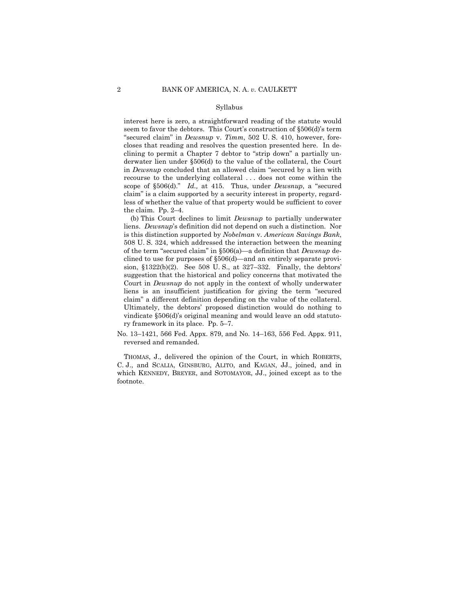#### Syllabus

 seem to favor the debtors. This Court's construction of §506(d)'s term interest here is zero, a straightforward reading of the statute would "secured claim" in *Dewsnup* v. *Timm*, 502 U. S. 410, however, forecloses that reading and resolves the question presented here. In declining to permit a Chapter 7 debtor to "strip down" a partially underwater lien under §506(d) to the value of the collateral, the Court in *Dewsnup* concluded that an allowed claim "secured by a lien with recourse to the underlying collateral . . . does not come within the scope of §506(d)." *Id.,* at 415. Thus, under *Dewsnup*, a "secured claim" is a claim supported by a security interest in property, regardless of whether the value of that property would be sufficient to cover the claim. Pp. 2–4.

(b) This Court declines to limit *Dewsnup* to partially underwater liens. *Dewsnup*'s definition did not depend on such a distinction. Nor is this distinction supported by *Nobelman* v. *American Savings Bank*, 508 U. S. 324, which addressed the interaction between the meaning of the term "secured claim" in §506(a)—a definition that *Dewsnup* declined to use for purposes of §506(d)—and an entirely separate provision, §1322(b)(2). See 508 U. S., at 327–332. Finally, the debtors' suggestion that the historical and policy concerns that motivated the Court in *Dewsnup* do not apply in the context of wholly underwater liens is an insufficient justification for giving the term "secured claim" a different definition depending on the value of the collateral. Ultimately, the debtors' proposed distinction would do nothing to vindicate §506(d)'s original meaning and would leave an odd statutory framework in its place. Pp. 5–7.

No. 13–1421, 566 Fed. Appx. 879, and No. 14–163, 556 Fed. Appx. 911, reversed and remanded.

THOMAS, J., delivered the opinion of the Court, in which ROBERTS, C. J., and SCALIA, GINSBURG, ALITO, and KAGAN, JJ., joined, and in which KENNEDY, BREYER, and SOTOMAYOR, JJ., joined except as to the footnote.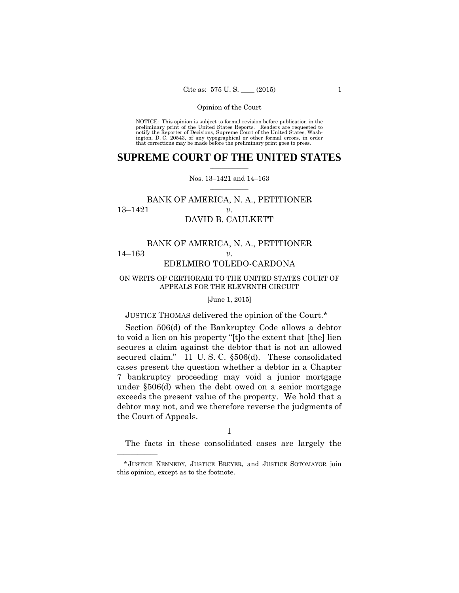preliminary print of the United States Reports. Readers are requested to notify the Reporter of Decisions, Supreme Court of the United States, Wash- ington, D. C. 20543, of any typographical or other formal errors, in order that corrections may be made before the preliminary print goes to press. NOTICE: This opinion is subject to formal revision before publication in the

### $\frac{1}{2}$  ,  $\frac{1}{2}$  ,  $\frac{1}{2}$  ,  $\frac{1}{2}$  ,  $\frac{1}{2}$  ,  $\frac{1}{2}$  ,  $\frac{1}{2}$ **SUPREME COURT OF THE UNITED STATES**

### $\frac{1}{2}$  ,  $\frac{1}{2}$  ,  $\frac{1}{2}$  ,  $\frac{1}{2}$  ,  $\frac{1}{2}$  ,  $\frac{1}{2}$ Nos. 13–1421 and 14–163

## BANK OF AMERICA, N. A., PETITIONER 13–1421 *v.*  DAVID B. CAULKETT

## BANK OF AMERICA, N. A., PETITIONER 14–163 *v.*  EDELMIRO TOLEDO-CARDONA

### ON WRITS OF CERTIORARI TO THE UNITED STATES COURT OF APPEALS FOR THE ELEVENTH CIRCUIT

### [June 1, 2015]

### JUSTICE THOMAS delivered the opinion of the Court.\*

Section 506(d) of the Bankruptcy Code allows a debtor to void a lien on his property "[t]o the extent that [the] lien secures a claim against the debtor that is not an allowed secured claim." 11 U.S.C. §506(d). These consolidated cases present the question whether a debtor in a Chapter 7 bankruptcy proceeding may void a junior mortgage under §506(d) when the debt owed on a senior mortgage exceeds the present value of the property. We hold that a debtor may not, and we therefore reverse the judgments of the Court of Appeals.

The facts in these consolidated cases are largely the

——————

I

<sup>\*</sup> JUSTICE KENNEDY, JUSTICE BREYER, and JUSTICE SOTOMAYOR join this opinion, except as to the footnote.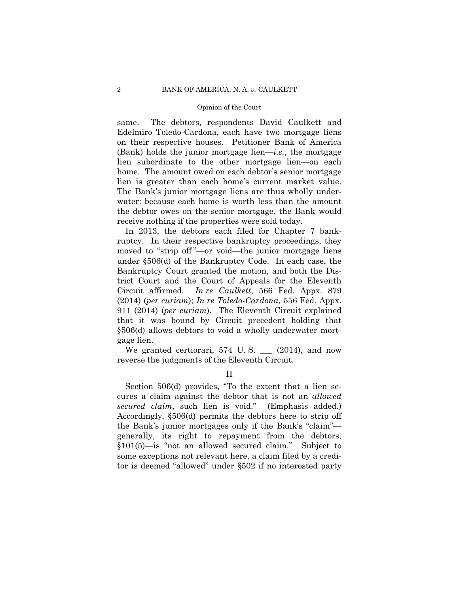same. The debtors, respondents David Caulkett and Edelmiro Toledo-Cardona, each have two mortgage liens on their respective houses. Petitioner Bank of America (Bank) holds the junior mortgage lien—*i.e.*, the mortgage lien subordinate to the other mortgage lien—on each home. The amount owed on each debtor's senior mortgage lien is greater than each home's current market value. The Bank's junior mortgage liens are thus wholly underwater: because each home is worth less than the amount the debtor owes on the senior mortgage, the Bank would receive nothing if the properties were sold today.

In 2013, the debtors each filed for Chapter 7 bankruptcy. In their respective bankruptcy proceedings, they moved to "strip off"—or void—the junior mortgage liens under §506(d) of the Bankruptcy Code. In each case, the Bankruptcy Court granted the motion, and both the District Court and the Court of Appeals for the Eleventh Circuit affirmed. *In re Caulkett*, 566 Fed. Appx. 879 (2014) (*per curiam*); *In re Toledo-Cardona*, 556 Fed. Appx. 911 (2014) (*per curiam*). The Eleventh Circuit explained that it was bound by Circuit precedent holding that §506(d) allows debtors to void a wholly underwater mortgage lien.

We granted certiorari,  $574$  U.S.  $\qquad$  (2014), and now reverse the judgments of the Eleventh Circuit.

II

Section 506(d) provides, "To the extent that a lien secures a claim against the debtor that is not an *allowed secured claim*, such lien is void." (Emphasis added.) Accordingly, §506(d) permits the debtors here to strip off the Bank's junior mortgages only if the Bank's "claim" generally, its right to repayment from the debtors, §101(5)—is "not an allowed secured claim." Subject to some exceptions not relevant here, a claim filed by a creditor is deemed "allowed" under §502 if no interested party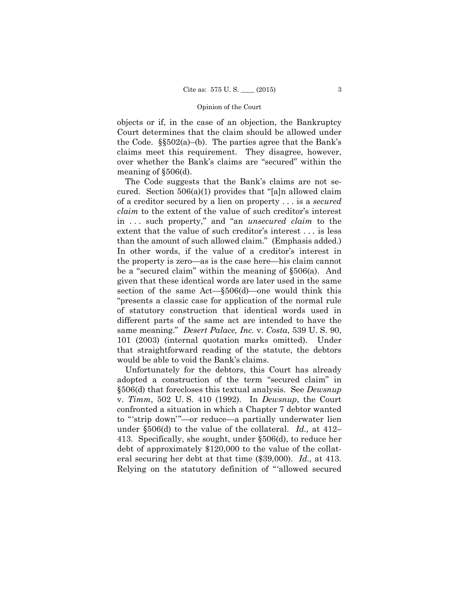objects or if, in the case of an objection, the Bankruptcy Court determines that the claim should be allowed under the Code.  $\S502(a)$ –(b). The parties agree that the Bank's claims meet this requirement. They disagree, however, over whether the Bank's claims are "secured" within the meaning of §506(d).

 than the amount of such allowed claim." (Emphasis added.) The Code suggests that the Bank's claims are not secured. Section 506(a)(1) provides that "[a]n allowed claim of a creditor secured by a lien on property . . . is a *secured claim* to the extent of the value of such creditor's interest in . . . such property," and "an *unsecured claim* to the extent that the value of such creditor's interest . . . is less In other words, if the value of a creditor's interest in the property is zero—as is the case here—his claim cannot be a "secured claim" within the meaning of §506(a). And given that these identical words are later used in the same section of the same Act—§506(d)—one would think this "presents a classic case for application of the normal rule of statutory construction that identical words used in different parts of the same act are intended to have the same meaning." *Desert Palace, Inc.* v. *Costa*, 539 U. S. 90, 101 (2003) (internal quotation marks omitted). Under that straightforward reading of the statute, the debtors would be able to void the Bank's claims.

 eral securing her debt at that time (\$39,000). *Id.,* at 413. Unfortunately for the debtors, this Court has already adopted a construction of the term "secured claim" in §506(d) that forecloses this textual analysis. See *Dewsnup*  v. *Timm*, 502 U. S. 410 (1992). In *Dewsnup*, the Court confronted a situation in which a Chapter 7 debtor wanted to "'strip down'"—or reduce—a partially underwater lien under §506(d) to the value of the collateral. *Id.,* at 412– 413. Specifically, she sought, under §506(d), to reduce her debt of approximately \$120,000 to the value of the collat-Relying on the statutory definition of "'allowed secured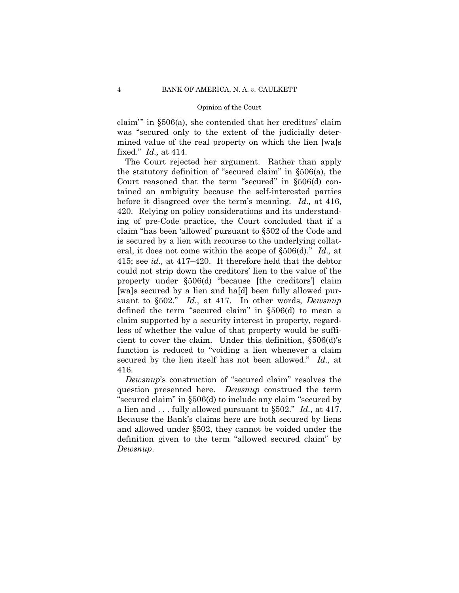claim'" in §506(a), she contended that her creditors' claim was "secured only to the extent of the judicially determined value of the real property on which the lien [wa]s fixed." *Id.,* at 414.

The Court rejected her argument. Rather than apply the statutory definition of "secured claim" in §506(a), the Court reasoned that the term "secured" in §506(d) contained an ambiguity because the self-interested parties before it disagreed over the term's meaning. *Id.,* at 416, 420. Relying on policy considerations and its understanding of pre-Code practice, the Court concluded that if a claim "has been 'allowed' pursuant to §502 of the Code and is secured by a lien with recourse to the underlying collateral, it does not come within the scope of §506(d)." *Id.,* at 415; see *id.,* at 417–420. It therefore held that the debtor could not strip down the creditors' lien to the value of the property under §506(d) "because [the creditors'] claim [wa]s secured by a lien and ha[d] been fully allowed pursuant to §502." *Id.,* at 417. In other words, *Dewsnup* defined the term "secured claim" in §506(d) to mean a claim supported by a security interest in property, regardless of whether the value of that property would be sufficient to cover the claim. Under this definition, §506(d)'s function is reduced to "voiding a lien whenever a claim secured by the lien itself has not been allowed." *Id.,* at 416.

 a lien and . . . fully allowed pursuant to §502." *Id.*, at 417. *Dewsnup*'s construction of "secured claim" resolves the question presented here. *Dewsnup* construed the term "secured claim" in §506(d) to include any claim "secured by Because the Bank's claims here are both secured by liens and allowed under §502, they cannot be voided under the definition given to the term "allowed secured claim" by *Dewsnup*.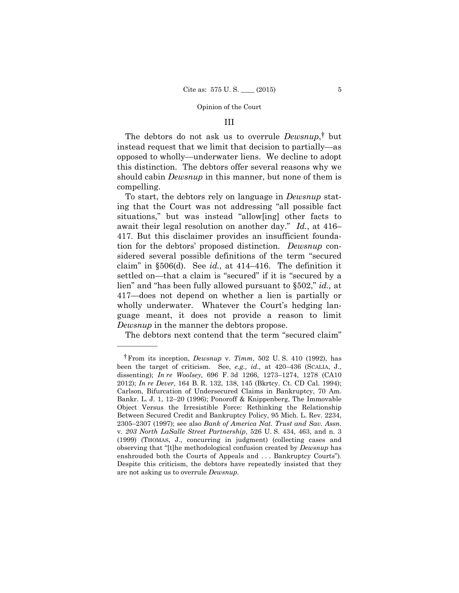### III

The debtors do not ask us to overrule *Dewsnup*, † but instead request that we limit that decision to partially—as opposed to wholly—underwater liens. We decline to adopt this distinction. The debtors offer several reasons why we should cabin *Dewsnup* in this manner, but none of them is compelling.

To start, the debtors rely on language in *Dewsnup* stating that the Court was not addressing "all possible fact situations," but was instead "allow[ing] other facts to await their legal resolution on another day." *Id.*, at 416– 417. But this disclaimer provides an insufficient foundation for the debtors' proposed distinction. *Dewsnup* considered several possible definitions of the term "secured claim" in §506(d). See *id.,* at 414–416. The definition it settled on—that a claim is "secured" if it is "secured by a lien" and "has been fully allowed pursuant to §502," *id.,* at 417—does not depend on whether a lien is partially or wholly underwater. Whatever the Court's hedging language meant, it does not provide a reason to limit *Dewsnup* in the manner the debtors propose.

The debtors next contend that the term "secured claim"

——————

<sup>†</sup> From its inception, *Dewsnup* v. *Timm*, 502 U. S. 410 (1992), has been the target of criticism. See, *e.g., id.,* at 420–436 (SCALIA, J., dissenting); *In re Woolsey*, 696 F. 3d 1266, 1273–1274, 1278 (CA10 2012); *In re Dever*, 164 B. R. 132, 138, 145 (Bkrtcy. Ct. CD Cal. 1994); Carlson, Bifurcation of Undersecured Claims in Bankruptcy, 70 Am. Bankr. L. J. 1, 12–20 (1996); Ponoroff & Knippenberg, The Immovable Object Versus the Irresistible Force: Rethinking the Relationship Between Secured Credit and Bankruptcy Policy, 95 Mich. L. Rev. 2234, 2305–2307 (1997); see also *Bank of America Nat. Trust and Sav. Assn.*  v. *203 North LaSalle Street Partnership*, 526 U. S. 434, 463, and n. 3 (1999) (THOMAS, J., concurring in judgment) (collecting cases and observing that "[t]he methodological confusion created by *Dewsnup* has enshrouded both the Courts of Appeals and ... Bankruptcy Courts"). Despite this criticism, the debtors have repeatedly insisted that they are not asking us to overrule *Dewsnup*.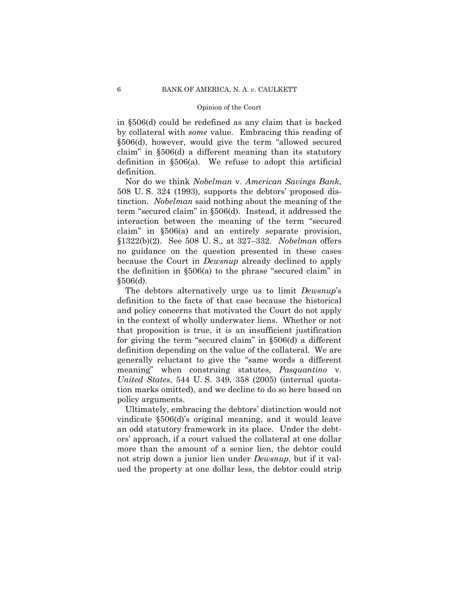in §506(d) could be redefined as any claim that is backed by collateral with *some* value. Embracing this reading of §506(d), however, would give the term "allowed secured claim" in §506(d) a different meaning than its statutory definition in §506(a). We refuse to adopt this artificial definition.

Nor do we think *Nobelman* v. *American Savings Bank*, 508 U. S. 324 (1993), supports the debtors' proposed distinction. *Nobelman* said nothing about the meaning of the term "secured claim" in §506(d). Instead, it addressed the interaction between the meaning of the term "secured claim" in §506(a) and an entirely separate provision, §1322(b)(2). See 508 U. S.*,* at 327–332. *Nobelman* offers no guidance on the question presented in these cases because the Court in *Dewsnup* already declined to apply the definition in §506(a) to the phrase "secured claim" in §506(d).

The debtors alternatively urge us to limit *Dewsnup*'s definition to the facts of that case because the historical and policy concerns that motivated the Court do not apply in the context of wholly underwater liens. Whether or not that proposition is true, it is an insufficient justification for giving the term "secured claim" in §506(d) a different definition depending on the value of the collateral. We are generally reluctant to give the "same words a different meaning" when construing statutes, *Pasquantino* v. *United States*, 544 U. S. 349, 358 (2005) (internal quotation marks omitted), and we decline to do so here based on policy arguments.

Ultimately, embracing the debtors' distinction would not vindicate §506(d)'s original meaning, and it would leave an odd statutory framework in its place. Under the debtors' approach, if a court valued the collateral at one dollar more than the amount of a senior lien, the debtor could not strip down a junior lien under *Dewsnup*, but if it valued the property at one dollar less, the debtor could strip